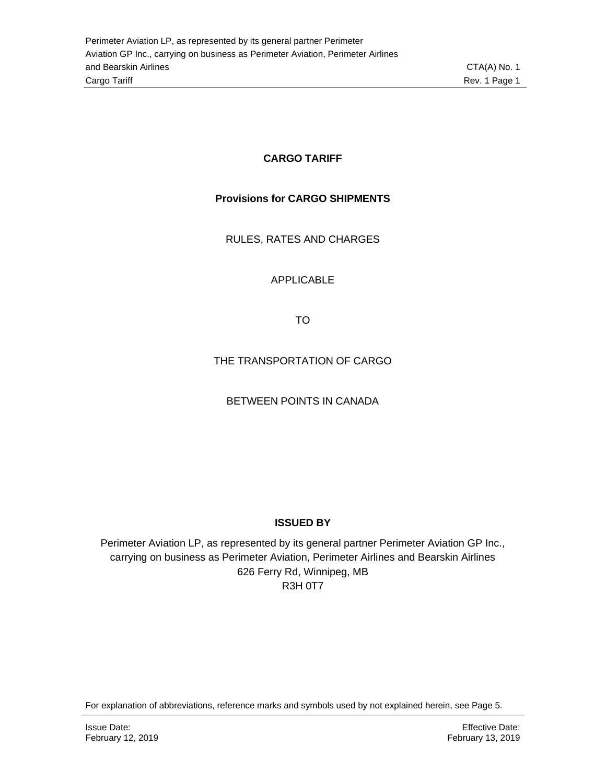#### **CARGO TARIFF**

#### **Provisions for CARGO SHIPMENTS**

RULES, RATES AND CHARGES

#### APPLICABLE

TO

#### THE TRANSPORTATION OF CARGO

#### BETWEEN POINTS IN CANADA

#### **ISSUED BY**

Perimeter Aviation LP, as represented by its general partner Perimeter Aviation GP Inc., carrying on business as Perimeter Aviation, Perimeter Airlines and Bearskin Airlines 626 Ferry Rd, Winnipeg, MB R3H 0T7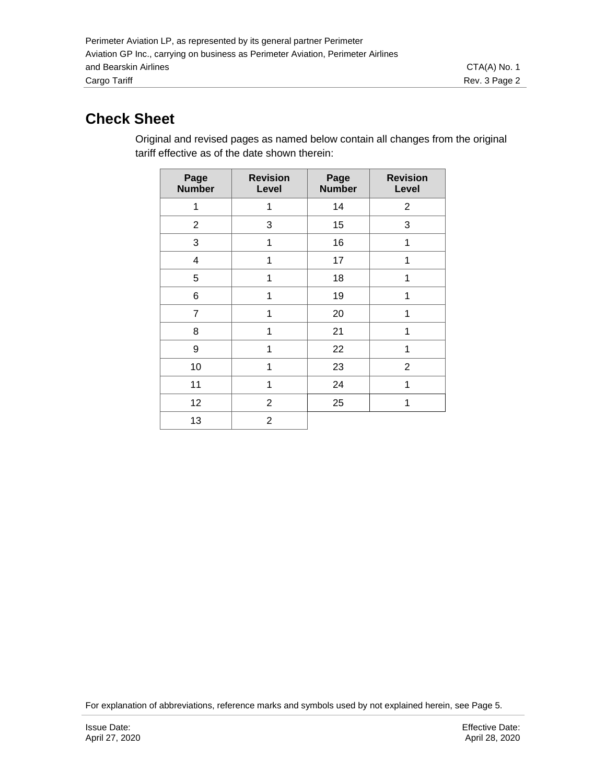# **Check Sheet**

Original and revised pages as named below contain all changes from the original tariff effective as of the date shown therein:

| Page<br><b>Number</b>   | <b>Revision</b><br>Level | Page<br><b>Number</b> | <b>Revision</b><br>Level |
|-------------------------|--------------------------|-----------------------|--------------------------|
| 1                       | 1                        | 14                    | $\overline{2}$           |
| $\overline{c}$          | 3                        | 15                    | 3                        |
| 3                       | 1                        | 16                    | 1                        |
| $\overline{\mathbf{4}}$ | 1                        | 17                    | 1                        |
| 5                       | 1                        | 18                    | 1                        |
| 6                       | 1                        | 19                    | 1                        |
| $\overline{7}$          | 1                        | 20                    | 1                        |
| 8                       | 1                        | 21                    | 1                        |
| 9                       | 1                        | 22                    | 1                        |
| 10                      | 1                        | 23                    | $\overline{2}$           |
| 11                      | 1                        | 24                    | 1                        |
| 12                      | $\overline{2}$           | 25                    | 1                        |
| 13                      | $\overline{2}$           |                       |                          |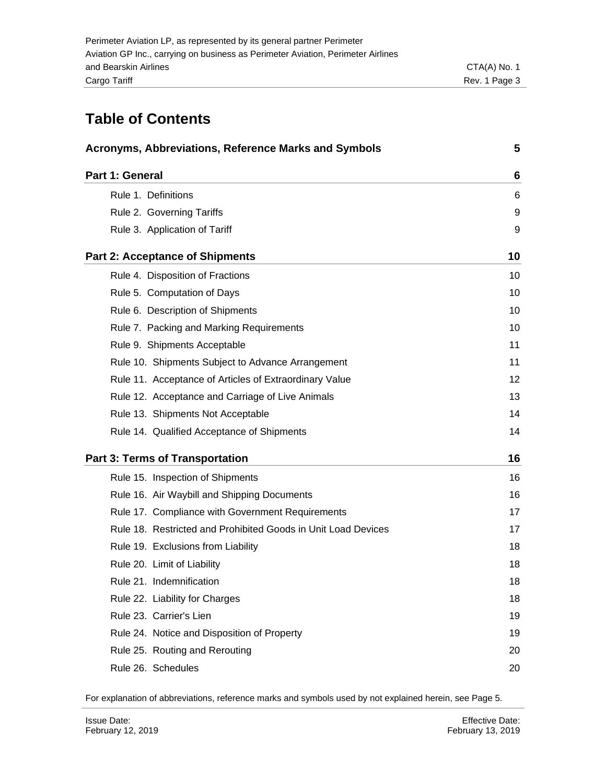## **Table of Contents**

| <b>Acronyms, Abbreviations, Reference Marks and Symbols</b>   | 5  |
|---------------------------------------------------------------|----|
| Part 1: General                                               | 6  |
| Rule 1. Definitions                                           | 6  |
| Rule 2. Governing Tariffs                                     | 9  |
| Rule 3. Application of Tariff                                 | 9  |
| <b>Part 2: Acceptance of Shipments</b>                        | 10 |
| Rule 4. Disposition of Fractions                              | 10 |
| Rule 5. Computation of Days                                   | 10 |
| Rule 6. Description of Shipments                              | 10 |
| Rule 7. Packing and Marking Requirements                      | 10 |
| Rule 9. Shipments Acceptable                                  | 11 |
| Rule 10. Shipments Subject to Advance Arrangement             | 11 |
| Rule 11. Acceptance of Articles of Extraordinary Value        | 12 |
| Rule 12. Acceptance and Carriage of Live Animals              | 13 |
| Rule 13. Shipments Not Acceptable                             | 14 |
| Rule 14. Qualified Acceptance of Shipments                    | 14 |
| <b>Part 3: Terms of Transportation</b>                        | 16 |
| Rule 15. Inspection of Shipments                              | 16 |
| Rule 16. Air Waybill and Shipping Documents                   | 16 |
| Rule 17. Compliance with Government Requirements              | 17 |
| Rule 18. Restricted and Prohibited Goods in Unit Load Devices | 17 |
| Rule 19. Exclusions from Liability                            | 18 |
| Rule 20. Limit of Liability                                   | 18 |
| Rule 21. Indemnification                                      | 18 |
| Rule 22. Liability for Charges                                | 18 |
| Rule 23. Carrier's Lien                                       | 19 |
| Rule 24. Notice and Disposition of Property                   | 19 |
| Rule 25. Routing and Rerouting                                | 20 |
| Rule 26. Schedules                                            | 20 |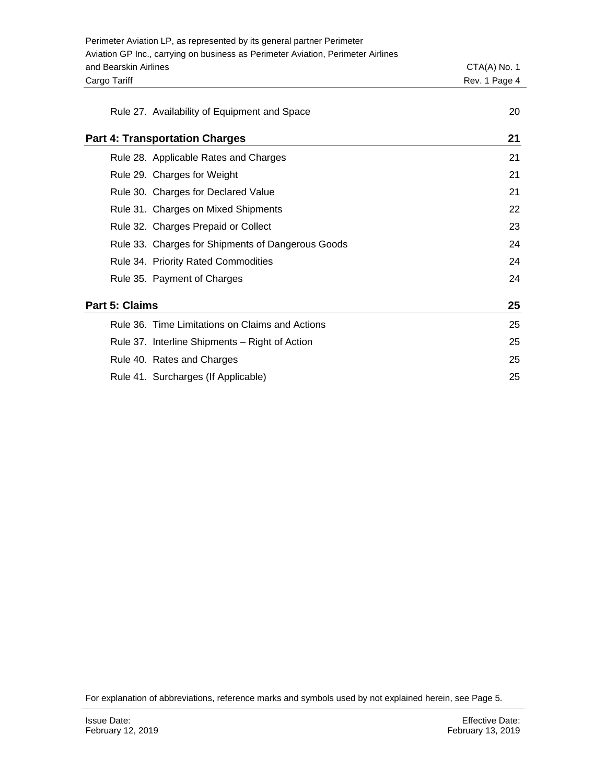|                                       | Perimeter Aviation LP, as represented by its general partner Perimeter           |                |
|---------------------------------------|----------------------------------------------------------------------------------|----------------|
|                                       | Aviation GP Inc., carrying on business as Perimeter Aviation, Perimeter Airlines |                |
| and Bearskin Airlines                 |                                                                                  | $CTA(A)$ No. 1 |
| Cargo Tariff                          |                                                                                  | Rev. 1 Page 4  |
|                                       |                                                                                  |                |
|                                       | Rule 27. Availability of Equipment and Space                                     | 20             |
| <b>Part 4: Transportation Charges</b> |                                                                                  | 21             |
|                                       | Rule 28. Applicable Rates and Charges                                            | 21             |
|                                       | Rule 29. Charges for Weight                                                      | 21             |
|                                       | Rule 30. Charges for Declared Value                                              | 21             |
|                                       | Rule 31. Charges on Mixed Shipments                                              | 22             |
|                                       | Rule 32. Charges Prepaid or Collect                                              | 23             |
|                                       | Rule 33. Charges for Shipments of Dangerous Goods                                | 24             |
|                                       | Rule 34. Priority Rated Commodities                                              | 24             |
|                                       | Rule 35. Payment of Charges                                                      | 24             |
| Part 5: Claims                        |                                                                                  | 25             |
|                                       | Rule 36. Time Limitations on Claims and Actions                                  | 25             |
|                                       | Rule 37. Interline Shipments - Right of Action                                   | 25             |
|                                       | Rule 40. Rates and Charges                                                       | 25             |
|                                       | Rule 41. Surcharges (If Applicable)                                              | 25             |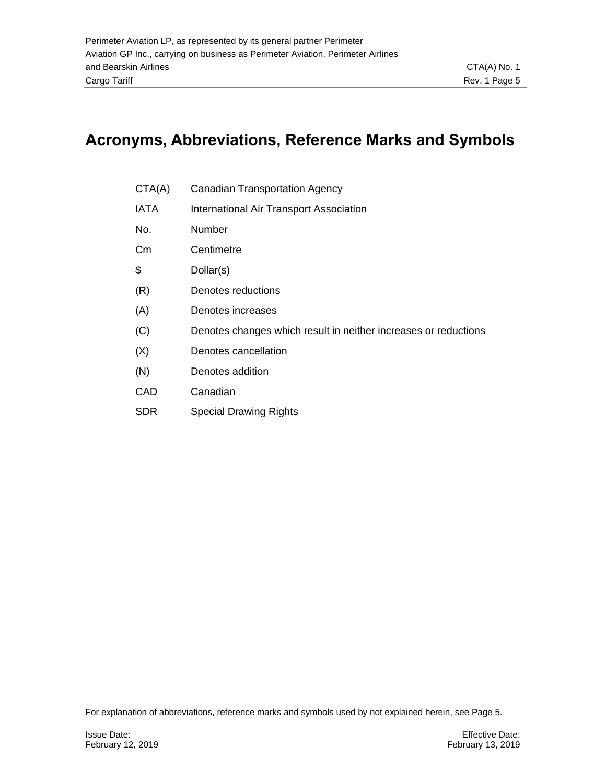# <span id="page-4-0"></span>**Acronyms, Abbreviations, Reference Marks and Symbols**

- CTA(A) Canadian Transportation Agency
- IATA International Air Transport Association
- No. Number
- Cm Centimetre
- \$ Dollar(s)
- (R) Denotes reductions
- (A) Denotes increases
- (C) Denotes changes which result in neither increases or reductions
- (X) Denotes cancellation
- (N) Denotes addition
- CAD Canadian
- SDR Special Drawing Rights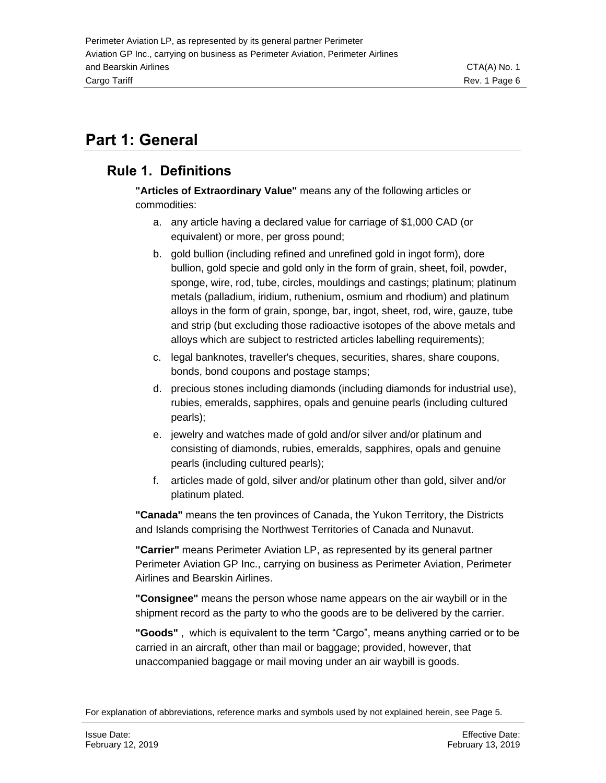# <span id="page-5-0"></span>**Part 1: General**

## <span id="page-5-1"></span>**Rule 1. Definitions**

**"Articles of Extraordinary Value"** means any of the following articles or commodities:

- a. any article having a declared value for carriage of \$1,000 CAD (or equivalent) or more, per gross pound;
- b. gold bullion (including refined and unrefined gold in ingot form), dore bullion, gold specie and gold only in the form of grain, sheet, foil, powder, sponge, wire, rod, tube, circles, mouldings and castings; platinum; platinum metals (palladium, iridium, ruthenium, osmium and rhodium) and platinum alloys in the form of grain, sponge, bar, ingot, sheet, rod, wire, gauze, tube and strip (but excluding those radioactive isotopes of the above metals and alloys which are subject to restricted articles labelling requirements);
- c. legal banknotes, traveller's cheques, securities, shares, share coupons, bonds, bond coupons and postage stamps;
- d. precious stones including diamonds (including diamonds for industrial use), rubies, emeralds, sapphires, opals and genuine pearls (including cultured pearls);
- e. jewelry and watches made of gold and/or silver and/or platinum and consisting of diamonds, rubies, emeralds, sapphires, opals and genuine pearls (including cultured pearls);
- f. articles made of gold, silver and/or platinum other than gold, silver and/or platinum plated.

**"Canada"** means the ten provinces of Canada, the Yukon Territory, the Districts and Islands comprising the Northwest Territories of Canada and Nunavut.

**"Carrier"** means Perimeter Aviation LP, as represented by its general partner Perimeter Aviation GP Inc., carrying on business as Perimeter Aviation, Perimeter Airlines and Bearskin Airlines.

**"Consignee"** means the person whose name appears on the air waybill or in the shipment record as the party to who the goods are to be delivered by the carrier.

**"Goods"** , which is equivalent to the term "Cargo", means anything carried or to be carried in an aircraft, other than mail or baggage; provided, however, that unaccompanied baggage or mail moving under an air waybill is goods.

For explanation of abbreviations, reference marks and symbols used by not explained herein, see Page 5.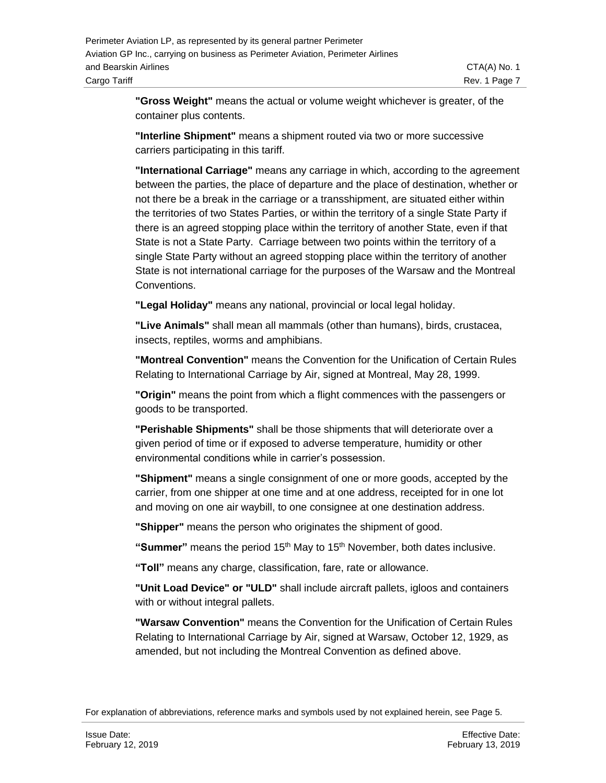**"Gross Weight"** means the actual or volume weight whichever is greater, of the container plus contents.

**"Interline Shipment"** means a shipment routed via two or more successive carriers participating in this tariff.

**"International Carriage"** means any carriage in which, according to the agreement between the parties, the place of departure and the place of destination, whether or not there be a break in the carriage or a transshipment, are situated either within the territories of two States Parties, or within the territory of a single State Party if there is an agreed stopping place within the territory of another State, even if that State is not a State Party. Carriage between two points within the territory of a single State Party without an agreed stopping place within the territory of another State is not international carriage for the purposes of the Warsaw and the Montreal **Conventions** 

**"Legal Holiday"** means any national, provincial or local legal holiday.

**"Live Animals"** shall mean all mammals (other than humans), birds, crustacea, insects, reptiles, worms and amphibians.

**"Montreal Convention"** means the Convention for the Unification of Certain Rules Relating to International Carriage by Air, signed at Montreal, May 28, 1999.

**"Origin"** means the point from which a flight commences with the passengers or goods to be transported.

**"Perishable Shipments"** shall be those shipments that will deteriorate over a given period of time or if exposed to adverse temperature, humidity or other environmental conditions while in carrier's possession.

**"Shipment"** means a single consignment of one or more goods, accepted by the carrier, from one shipper at one time and at one address, receipted for in one lot and moving on one air waybill, to one consignee at one destination address.

**"Shipper"** means the person who originates the shipment of good.

"Summer" means the period 15<sup>th</sup> May to 15<sup>th</sup> November, both dates inclusive.

**"Toll"** means any charge, classification, fare, rate or allowance.

**"Unit Load Device" or "ULD"** shall include aircraft pallets, igloos and containers with or without integral pallets.

**"Warsaw Convention"** means the Convention for the Unification of Certain Rules Relating to International Carriage by Air, signed at Warsaw, October 12, 1929, as amended, but not including the Montreal Convention as defined above.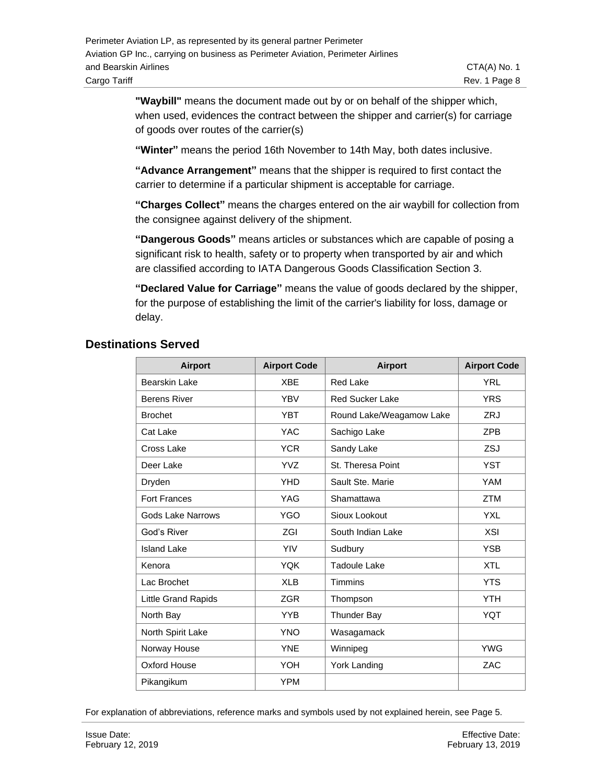**"Waybill"** means the document made out by or on behalf of the shipper which, when used, evidences the contract between the shipper and carrier(s) for carriage of goods over routes of the carrier(s)

**"Winter"** means the period 16th November to 14th May, both dates inclusive.

**"Advance Arrangement"** means that the shipper is required to first contact the carrier to determine if a particular shipment is acceptable for carriage.

**"Charges Collect"** means the charges entered on the air waybill for collection from the consignee against delivery of the shipment.

**"Dangerous Goods"** means articles or substances which are capable of posing a significant risk to health, safety or to property when transported by air and which are classified according to IATA Dangerous Goods Classification Section 3.

**"Declared Value for Carriage"** means the value of goods declared by the shipper, for the purpose of establishing the limit of the carrier's liability for loss, damage or delay.

#### **Destinations Served**

| <b>Airport</b>           | <b>Airport Code</b> | <b>Airport</b>           | <b>Airport Code</b> |
|--------------------------|---------------------|--------------------------|---------------------|
| <b>Bearskin Lake</b>     | <b>XBE</b>          | <b>Red Lake</b>          | <b>YRL</b>          |
| <b>Berens River</b>      | <b>YBV</b>          | <b>Red Sucker Lake</b>   | <b>YRS</b>          |
| <b>Brochet</b>           | <b>YBT</b>          | Round Lake/Weagamow Lake | <b>ZRJ</b>          |
| Cat Lake                 | <b>YAC</b>          | Sachigo Lake             | ZPB                 |
| Cross Lake               | <b>YCR</b>          | Sandy Lake               | ZSJ                 |
| Deer Lake                | <b>YVZ</b>          | St. Theresa Point        | <b>YST</b>          |
| Dryden                   | <b>YHD</b>          | Sault Ste. Marie         | <b>YAM</b>          |
| <b>Fort Frances</b>      | <b>YAG</b>          | Shamattawa               | <b>ZTM</b>          |
| <b>Gods Lake Narrows</b> | <b>YGO</b>          | Sioux Lookout            | <b>YXL</b>          |
| God's River              | <b>ZGI</b>          | South Indian Lake        | <b>XSI</b>          |
| <b>Island Lake</b>       | <b>YIV</b>          | Sudbury                  | <b>YSB</b>          |
| Kenora                   | <b>YOK</b>          | <b>Tadoule Lake</b>      | <b>XTL</b>          |
| Lac Brochet              | <b>XLB</b>          | <b>Timmins</b>           | <b>YTS</b>          |
| Little Grand Rapids      | <b>ZGR</b>          | Thompson                 | <b>YTH</b>          |
| North Bay                | <b>YYB</b>          | <b>Thunder Bay</b>       | <b>YQT</b>          |
| North Spirit Lake        | <b>YNO</b>          | Wasagamack               |                     |
| Norway House             | <b>YNE</b>          | Winnipeg                 | <b>YWG</b>          |
| Oxford House             | YOH                 | York Landing             | ZAC                 |
| Pikangikum               | <b>YPM</b>          |                          |                     |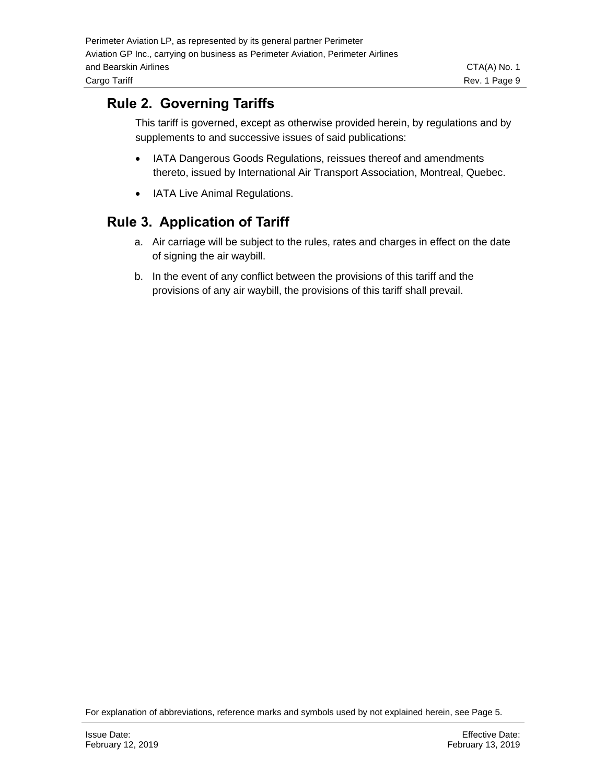### <span id="page-8-0"></span>**Rule 2. Governing Tariffs**

This tariff is governed, except as otherwise provided herein, by regulations and by supplements to and successive issues of said publications:

- IATA Dangerous Goods Regulations, reissues thereof and amendments thereto, issued by International Air Transport Association, Montreal, Quebec.
- IATA Live Animal Regulations.

#### <span id="page-8-1"></span>**Rule 3. Application of Tariff**

- a. Air carriage will be subject to the rules, rates and charges in effect on the date of signing the air waybill.
- b. In the event of any conflict between the provisions of this tariff and the provisions of any air waybill, the provisions of this tariff shall prevail.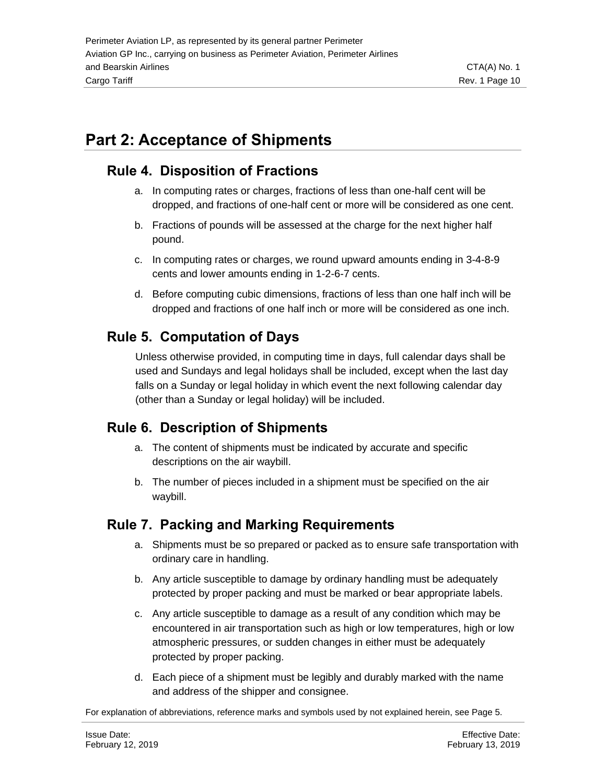# <span id="page-9-0"></span>**Part 2: Acceptance of Shipments**

### <span id="page-9-1"></span>**Rule 4. Disposition of Fractions**

- a. In computing rates or charges, fractions of less than one-half cent will be dropped, and fractions of one-half cent or more will be considered as one cent.
- b. Fractions of pounds will be assessed at the charge for the next higher half pound.
- c. In computing rates or charges, we round upward amounts ending in 3-4-8-9 cents and lower amounts ending in 1-2-6-7 cents.
- d. Before computing cubic dimensions, fractions of less than one half inch will be dropped and fractions of one half inch or more will be considered as one inch.

## <span id="page-9-2"></span>**Rule 5. Computation of Days**

Unless otherwise provided, in computing time in days, full calendar days shall be used and Sundays and legal holidays shall be included, except when the last day falls on a Sunday or legal holiday in which event the next following calendar day (other than a Sunday or legal holiday) will be included.

## <span id="page-9-3"></span>**Rule 6. Description of Shipments**

- a. The content of shipments must be indicated by accurate and specific descriptions on the air waybill.
- b. The number of pieces included in a shipment must be specified on the air waybill.

## <span id="page-9-4"></span>**Rule 7. Packing and Marking Requirements**

- a. Shipments must be so prepared or packed as to ensure safe transportation with ordinary care in handling.
- b. Any article susceptible to damage by ordinary handling must be adequately protected by proper packing and must be marked or bear appropriate labels.
- c. Any article susceptible to damage as a result of any condition which may be encountered in air transportation such as high or low temperatures, high or low atmospheric pressures, or sudden changes in either must be adequately protected by proper packing.
- d. Each piece of a shipment must be legibly and durably marked with the name and address of the shipper and consignee.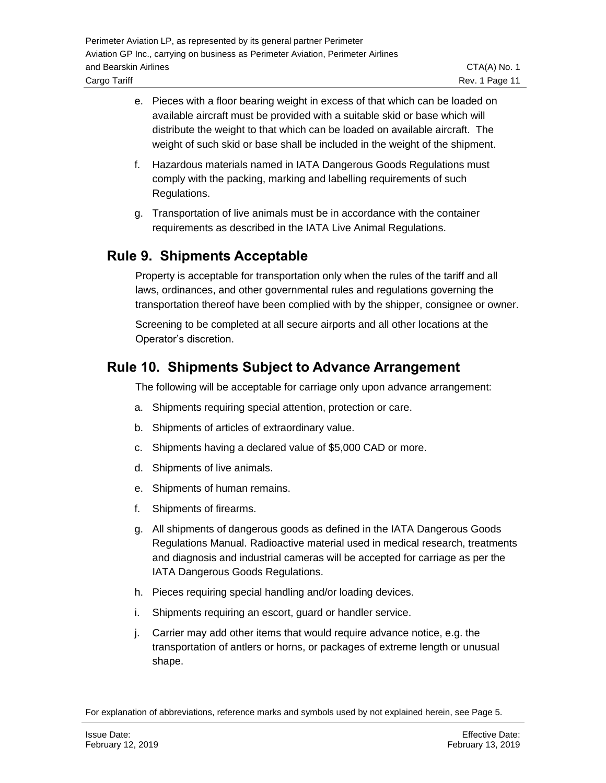- e. Pieces with a floor bearing weight in excess of that which can be loaded on available aircraft must be provided with a suitable skid or base which will distribute the weight to that which can be loaded on available aircraft. The weight of such skid or base shall be included in the weight of the shipment.
- f. Hazardous materials named in IATA Dangerous Goods Regulations must comply with the packing, marking and labelling requirements of such Regulations.
- g. Transportation of live animals must be in accordance with the container requirements as described in the IATA Live Animal Regulations.

### <span id="page-10-0"></span>**Rule 9. Shipments Acceptable**

Property is acceptable for transportation only when the rules of the tariff and all laws, ordinances, and other governmental rules and regulations governing the transportation thereof have been complied with by the shipper, consignee or owner.

Screening to be completed at all secure airports and all other locations at the Operator's discretion.

### <span id="page-10-1"></span>**Rule 10. Shipments Subject to Advance Arrangement**

The following will be acceptable for carriage only upon advance arrangement:

- a. Shipments requiring special attention, protection or care.
- b. Shipments of articles of extraordinary value.
- c. Shipments having a declared value of \$5,000 CAD or more.
- d. Shipments of live animals.
- e. Shipments of human remains.
- f. Shipments of firearms.
- g. All shipments of dangerous goods as defined in the IATA Dangerous Goods Regulations Manual. Radioactive material used in medical research, treatments and diagnosis and industrial cameras will be accepted for carriage as per the IATA Dangerous Goods Regulations.
- h. Pieces requiring special handling and/or loading devices.
- i. Shipments requiring an escort, guard or handler service.
- j. Carrier may add other items that would require advance notice, e.g. the transportation of antlers or horns, or packages of extreme length or unusual shape.

For explanation of abbreviations, reference marks and symbols used by not explained herein, see Page 5.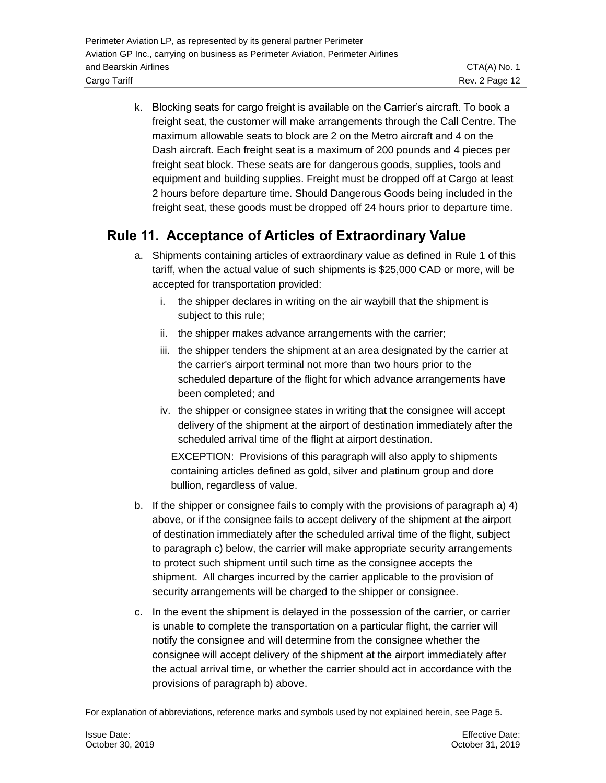freight seat, the customer will make arrangements through the Call Centre. The maximum allowable seats to block are 2 on the Metro aircraft and 4 on the Dash aircraft. Each freight seat is a maximum of 200 pounds and 4 pieces per freight seat block. These seats are for dangerous goods, supplies, tools and equipment and building supplies. Freight must be dropped off at Cargo at least 2 hours before departure time. Should Dangerous Goods being included in the freight seat, these goods must be dropped off 24 hours prior to departure time.

## <span id="page-11-0"></span>**Rule 11. Acceptance of Articles of Extraordinary Value**

- a. Shipments containing articles of extraordinary value as defined in Rule 1 of this tariff, when the actual value of such shipments is \$25,000 CAD or more, will be accepted for transportation provided:
	- i. the shipper declares in writing on the air waybill that the shipment is subject to this rule;
	- ii. the shipper makes advance arrangements with the carrier;
	- iii. the shipper tenders the shipment at an area designated by the carrier at the carrier's airport terminal not more than two hours prior to the scheduled departure of the flight for which advance arrangements have been completed; and
	- iv. the shipper or consignee states in writing that the consignee will accept delivery of the shipment at the airport of destination immediately after the scheduled arrival time of the flight at airport destination.

EXCEPTION: Provisions of this paragraph will also apply to shipments containing articles defined as gold, silver and platinum group and dore bullion, regardless of value.

- b. If the shipper or consignee fails to comply with the provisions of paragraph a) 4) above, or if the consignee fails to accept delivery of the shipment at the airport of destination immediately after the scheduled arrival time of the flight, subject to paragraph c) below, the carrier will make appropriate security arrangements to protect such shipment until such time as the consignee accepts the shipment. All charges incurred by the carrier applicable to the provision of security arrangements will be charged to the shipper or consignee.
- c. In the event the shipment is delayed in the possession of the carrier, or carrier is unable to complete the transportation on a particular flight, the carrier will notify the consignee and will determine from the consignee whether the consignee will accept delivery of the shipment at the airport immediately after the actual arrival time, or whether the carrier should act in accordance with the provisions of paragraph b) above.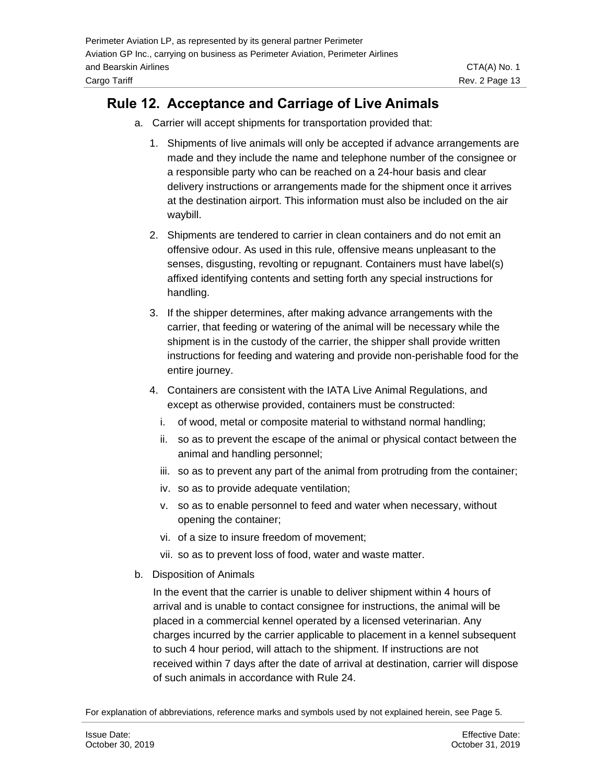#### <span id="page-12-0"></span>**Rule 12. Acceptance and Carriage of Live Animals**

- a. Carrier will accept shipments for transportation provided that:
	- 1. Shipments of live animals will only be accepted if advance arrangements are made and they include the name and telephone number of the consignee or a responsible party who can be reached on a 24-hour basis and clear delivery instructions or arrangements made for the shipment once it arrives at the destination airport. This information must also be included on the air waybill.
	- 2. Shipments are tendered to carrier in clean containers and do not emit an offensive odour. As used in this rule, offensive means unpleasant to the senses, disgusting, revolting or repugnant. Containers must have label(s) affixed identifying contents and setting forth any special instructions for handling.
	- 3. If the shipper determines, after making advance arrangements with the carrier, that feeding or watering of the animal will be necessary while the shipment is in the custody of the carrier, the shipper shall provide written instructions for feeding and watering and provide non-perishable food for the entire journey.
	- 4. Containers are consistent with the IATA Live Animal Regulations, and except as otherwise provided, containers must be constructed:
		- i. of wood, metal or composite material to withstand normal handling;
		- ii. so as to prevent the escape of the animal or physical contact between the animal and handling personnel;
		- iii. so as to prevent any part of the animal from protruding from the container;
		- iv. so as to provide adequate ventilation;
		- v. so as to enable personnel to feed and water when necessary, without opening the container;
		- vi. of a size to insure freedom of movement;
		- vii. so as to prevent loss of food, water and waste matter.
- b. Disposition of Animals

In the event that the carrier is unable to deliver shipment within 4 hours of arrival and is unable to contact consignee for instructions, the animal will be placed in a commercial kennel operated by a licensed veterinarian. Any charges incurred by the carrier applicable to placement in a kennel subsequent to such 4 hour period, will attach to the shipment. If instructions are not received within 7 days after the date of arrival at destination, carrier will dispose of such animals in accordance with Rule 24.

For explanation of abbreviations, reference marks and symbols used by not explained herein, see Page 5.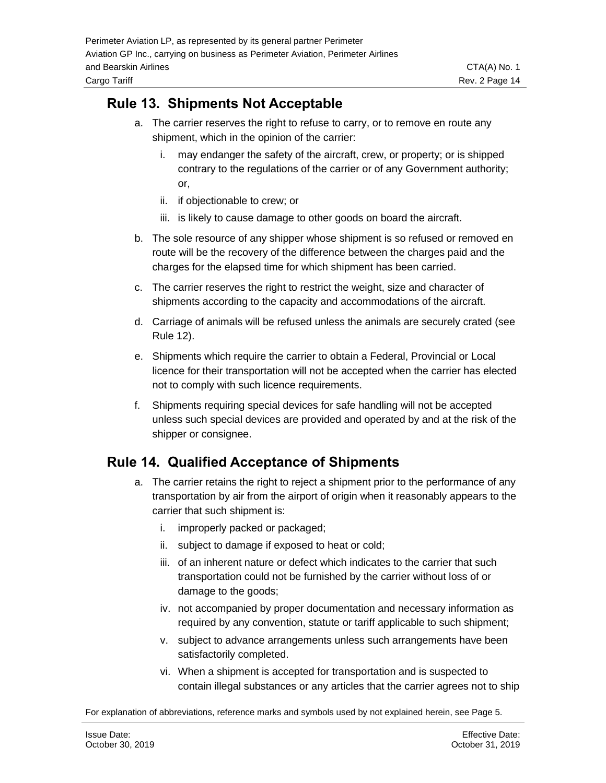### <span id="page-13-0"></span>**Rule 13. Shipments Not Acceptable**

- a. The carrier reserves the right to refuse to carry, or to remove en route any shipment, which in the opinion of the carrier:
	- i. may endanger the safety of the aircraft, crew, or property; or is shipped contrary to the regulations of the carrier or of any Government authority; or,
	- ii. if objectionable to crew; or
	- iii. is likely to cause damage to other goods on board the aircraft.
- b. The sole resource of any shipper whose shipment is so refused or removed en route will be the recovery of the difference between the charges paid and the charges for the elapsed time for which shipment has been carried.
- c. The carrier reserves the right to restrict the weight, size and character of shipments according to the capacity and accommodations of the aircraft.
- d. Carriage of animals will be refused unless the animals are securely crated (see Rule 12).
- e. Shipments which require the carrier to obtain a Federal, Provincial or Local licence for their transportation will not be accepted when the carrier has elected not to comply with such licence requirements.
- f. Shipments requiring special devices for safe handling will not be accepted unless such special devices are provided and operated by and at the risk of the shipper or consignee.

#### <span id="page-13-1"></span>**Rule 14. Qualified Acceptance of Shipments**

- a. The carrier retains the right to reject a shipment prior to the performance of any transportation by air from the airport of origin when it reasonably appears to the carrier that such shipment is:
	- i. improperly packed or packaged;
	- ii. subject to damage if exposed to heat or cold;
	- iii. of an inherent nature or defect which indicates to the carrier that such transportation could not be furnished by the carrier without loss of or damage to the goods;
	- iv. not accompanied by proper documentation and necessary information as required by any convention, statute or tariff applicable to such shipment;
	- v. subject to advance arrangements unless such arrangements have been satisfactorily completed.
	- vi. When a shipment is accepted for transportation and is suspected to contain illegal substances or any articles that the carrier agrees not to ship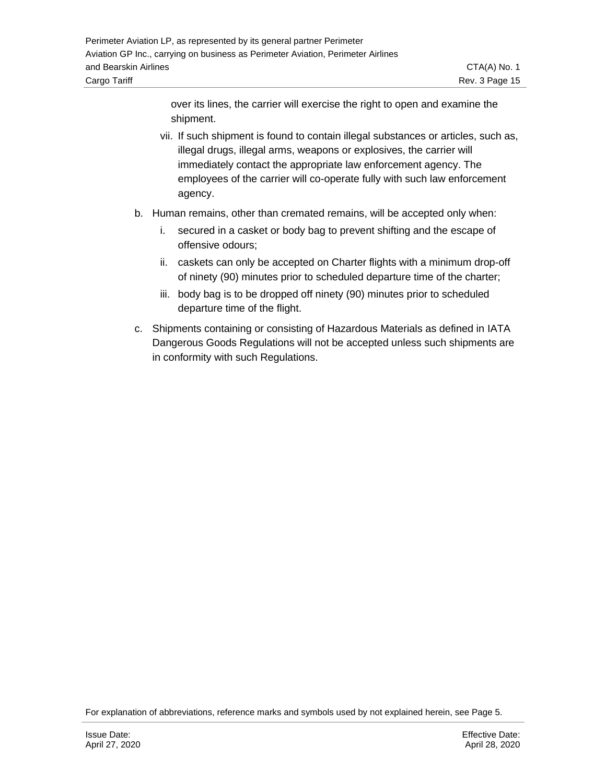over its lines, the carrier will exercise the right to open and examine the shipment.

- vii. If such shipment is found to contain illegal substances or articles, such as, illegal drugs, illegal arms, weapons or explosives, the carrier will immediately contact the appropriate law enforcement agency. The employees of the carrier will co-operate fully with such law enforcement agency.
- b. Human remains, other than cremated remains, will be accepted only when:
	- i. secured in a casket or body bag to prevent shifting and the escape of offensive odours;
	- ii. caskets can only be accepted on Charter flights with a minimum drop-off of ninety (90) minutes prior to scheduled departure time of the charter;
	- iii. body bag is to be dropped off ninety (90) minutes prior to scheduled departure time of the flight.
- c. Shipments containing or consisting of Hazardous Materials as defined in IATA Dangerous Goods Regulations will not be accepted unless such shipments are in conformity with such Regulations.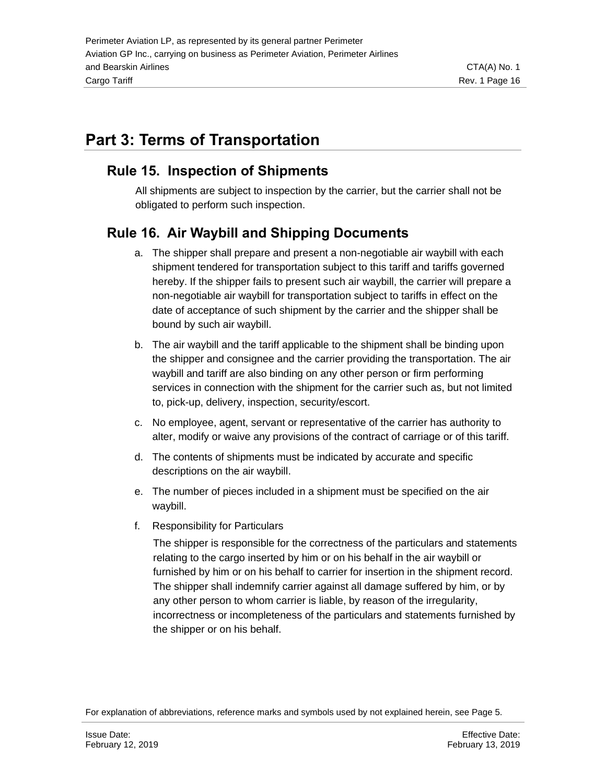# <span id="page-15-0"></span>**Part 3: Terms of Transportation**

### <span id="page-15-1"></span>**Rule 15. Inspection of Shipments**

All shipments are subject to inspection by the carrier, but the carrier shall not be obligated to perform such inspection.

## <span id="page-15-2"></span>**Rule 16. Air Waybill and Shipping Documents**

- a. The shipper shall prepare and present a non-negotiable air waybill with each shipment tendered for transportation subject to this tariff and tariffs governed hereby. If the shipper fails to present such air waybill, the carrier will prepare a non-negotiable air waybill for transportation subject to tariffs in effect on the date of acceptance of such shipment by the carrier and the shipper shall be bound by such air waybill.
- b. The air waybill and the tariff applicable to the shipment shall be binding upon the shipper and consignee and the carrier providing the transportation. The air waybill and tariff are also binding on any other person or firm performing services in connection with the shipment for the carrier such as, but not limited to, pick-up, delivery, inspection, security/escort.
- c. No employee, agent, servant or representative of the carrier has authority to alter, modify or waive any provisions of the contract of carriage or of this tariff.
- d. The contents of shipments must be indicated by accurate and specific descriptions on the air waybill.
- e. The number of pieces included in a shipment must be specified on the air waybill.
- f. Responsibility for Particulars

The shipper is responsible for the correctness of the particulars and statements relating to the cargo inserted by him or on his behalf in the air waybill or furnished by him or on his behalf to carrier for insertion in the shipment record. The shipper shall indemnify carrier against all damage suffered by him, or by any other person to whom carrier is liable, by reason of the irregularity, incorrectness or incompleteness of the particulars and statements furnished by the shipper or on his behalf.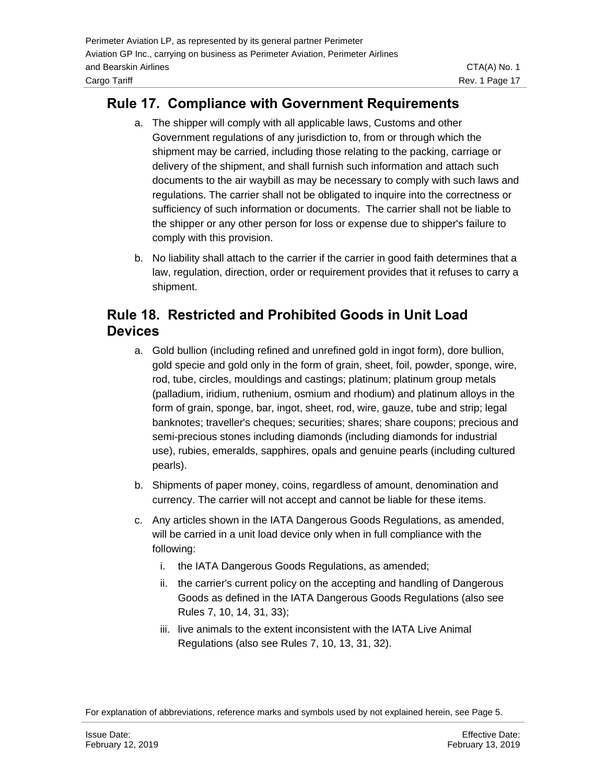### <span id="page-16-0"></span>**Rule 17. Compliance with Government Requirements**

- a. The shipper will comply with all applicable laws, Customs and other Government regulations of any jurisdiction to, from or through which the shipment may be carried, including those relating to the packing, carriage or delivery of the shipment, and shall furnish such information and attach such documents to the air waybill as may be necessary to comply with such laws and regulations. The carrier shall not be obligated to inquire into the correctness or sufficiency of such information or documents. The carrier shall not be liable to the shipper or any other person for loss or expense due to shipper's failure to comply with this provision.
- b. No liability shall attach to the carrier if the carrier in good faith determines that a law, regulation, direction, order or requirement provides that it refuses to carry a shipment.

### <span id="page-16-1"></span>**Rule 18. Restricted and Prohibited Goods in Unit Load Devices**

- a. Gold bullion (including refined and unrefined gold in ingot form), dore bullion, gold specie and gold only in the form of grain, sheet, foil, powder, sponge, wire, rod, tube, circles, mouldings and castings; platinum; platinum group metals (palladium, iridium, ruthenium, osmium and rhodium) and platinum alloys in the form of grain, sponge, bar, ingot, sheet, rod, wire, gauze, tube and strip; legal banknotes; traveller's cheques; securities; shares; share coupons; precious and semi-precious stones including diamonds (including diamonds for industrial use), rubies, emeralds, sapphires, opals and genuine pearls (including cultured pearls).
- b. Shipments of paper money, coins, regardless of amount, denomination and currency. The carrier will not accept and cannot be liable for these items.
- c. Any articles shown in the IATA Dangerous Goods Regulations, as amended, will be carried in a unit load device only when in full compliance with the following:
	- i. the IATA Dangerous Goods Regulations, as amended;
	- ii. the carrier's current policy on the accepting and handling of Dangerous Goods as defined in the IATA Dangerous Goods Regulations (also see Rules 7, 10, 14, 31, 33);
	- iii. live animals to the extent inconsistent with the IATA Live Animal Regulations (also see Rules 7, 10, 13, 31, 32).

For explanation of abbreviations, reference marks and symbols used by not explained herein, see Page 5.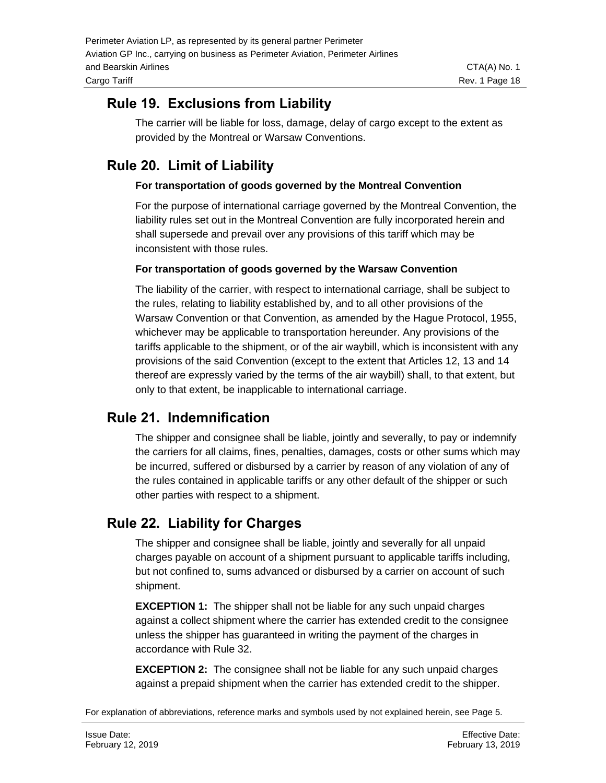## <span id="page-17-0"></span>**Rule 19. Exclusions from Liability**

The carrier will be liable for loss, damage, delay of cargo except to the extent as provided by the Montreal or Warsaw Conventions.

## <span id="page-17-1"></span>**Rule 20. Limit of Liability**

#### **For transportation of goods governed by the Montreal Convention**

For the purpose of international carriage governed by the Montreal Convention, the liability rules set out in the Montreal Convention are fully incorporated herein and shall supersede and prevail over any provisions of this tariff which may be inconsistent with those rules.

#### **For transportation of goods governed by the Warsaw Convention**

The liability of the carrier, with respect to international carriage, shall be subject to the rules, relating to liability established by, and to all other provisions of the Warsaw Convention or that Convention, as amended by the Hague Protocol, 1955, whichever may be applicable to transportation hereunder. Any provisions of the tariffs applicable to the shipment, or of the air waybill, which is inconsistent with any provisions of the said Convention (except to the extent that Articles 12, 13 and 14 thereof are expressly varied by the terms of the air waybill) shall, to that extent, but only to that extent, be inapplicable to international carriage.

#### <span id="page-17-2"></span>**Rule 21. Indemnification**

The shipper and consignee shall be liable, jointly and severally, to pay or indemnify the carriers for all claims, fines, penalties, damages, costs or other sums which may be incurred, suffered or disbursed by a carrier by reason of any violation of any of the rules contained in applicable tariffs or any other default of the shipper or such other parties with respect to a shipment.

## <span id="page-17-3"></span>**Rule 22. Liability for Charges**

The shipper and consignee shall be liable, jointly and severally for all unpaid charges payable on account of a shipment pursuant to applicable tariffs including, but not confined to, sums advanced or disbursed by a carrier on account of such shipment.

**EXCEPTION 1:** The shipper shall not be liable for any such unpaid charges against a collect shipment where the carrier has extended credit to the consignee unless the shipper has guaranteed in writing the payment of the charges in accordance with Rule 32.

**EXCEPTION 2:** The consignee shall not be liable for any such unpaid charges against a prepaid shipment when the carrier has extended credit to the shipper.

For explanation of abbreviations, reference marks and symbols used by not explained herein, see Page 5.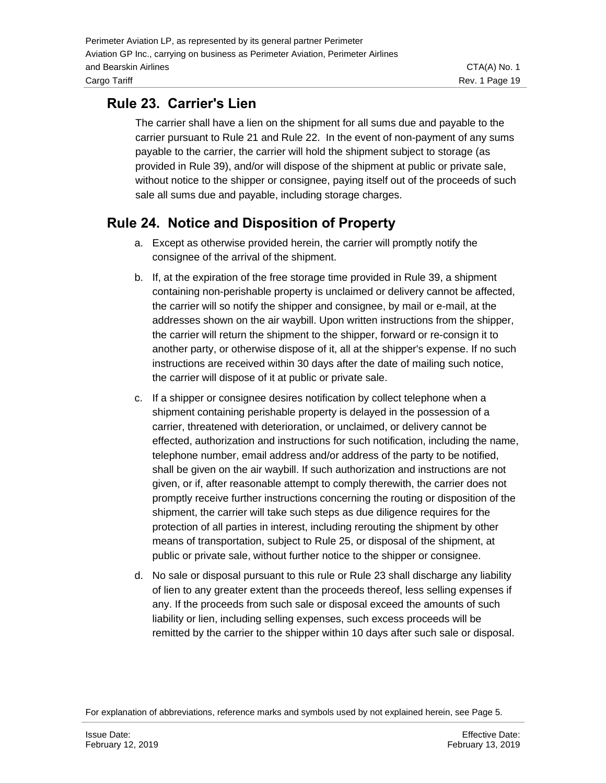## <span id="page-18-0"></span>**Rule 23. Carrier's Lien**

The carrier shall have a lien on the shipment for all sums due and payable to the carrier pursuant to Rule 21 and Rule 22. In the event of non-payment of any sums payable to the carrier, the carrier will hold the shipment subject to storage (as provided in Rule 39), and/or will dispose of the shipment at public or private sale, without notice to the shipper or consignee, paying itself out of the proceeds of such sale all sums due and payable, including storage charges.

## <span id="page-18-1"></span>**Rule 24. Notice and Disposition of Property**

- a. Except as otherwise provided herein, the carrier will promptly notify the consignee of the arrival of the shipment.
- b. If, at the expiration of the free storage time provided in Rule 39, a shipment containing non-perishable property is unclaimed or delivery cannot be affected, the carrier will so notify the shipper and consignee, by mail or e-mail, at the addresses shown on the air waybill. Upon written instructions from the shipper, the carrier will return the shipment to the shipper, forward or re-consign it to another party, or otherwise dispose of it, all at the shipper's expense. If no such instructions are received within 30 days after the date of mailing such notice, the carrier will dispose of it at public or private sale.
- c. If a shipper or consignee desires notification by collect telephone when a shipment containing perishable property is delayed in the possession of a carrier, threatened with deterioration, or unclaimed, or delivery cannot be effected, authorization and instructions for such notification, including the name, telephone number, email address and/or address of the party to be notified, shall be given on the air waybill. If such authorization and instructions are not given, or if, after reasonable attempt to comply therewith, the carrier does not promptly receive further instructions concerning the routing or disposition of the shipment, the carrier will take such steps as due diligence requires for the protection of all parties in interest, including rerouting the shipment by other means of transportation, subject to Rule 25, or disposal of the shipment, at public or private sale, without further notice to the shipper or consignee.
- d. No sale or disposal pursuant to this rule or Rule 23 shall discharge any liability of lien to any greater extent than the proceeds thereof, less selling expenses if any. If the proceeds from such sale or disposal exceed the amounts of such liability or lien, including selling expenses, such excess proceeds will be remitted by the carrier to the shipper within 10 days after such sale or disposal.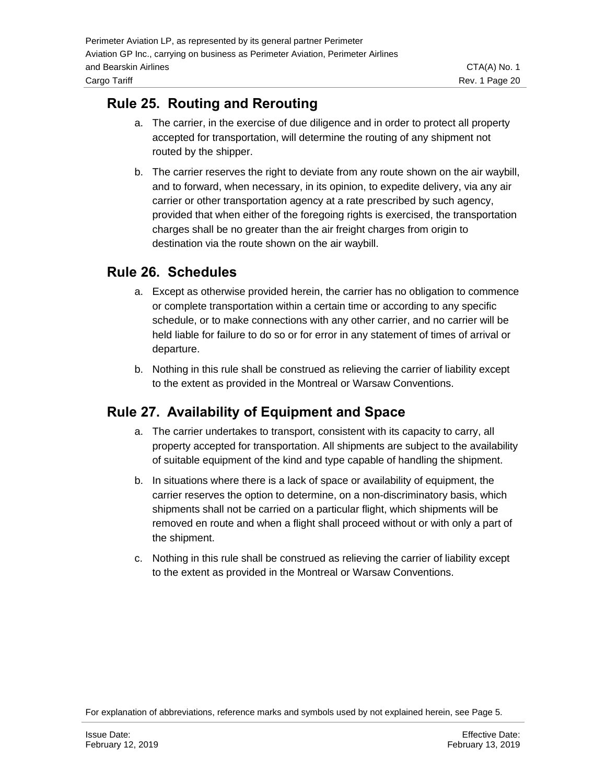### <span id="page-19-0"></span>**Rule 25. Routing and Rerouting**

- a. The carrier, in the exercise of due diligence and in order to protect all property accepted for transportation, will determine the routing of any shipment not routed by the shipper.
- b. The carrier reserves the right to deviate from any route shown on the air waybill, and to forward, when necessary, in its opinion, to expedite delivery, via any air carrier or other transportation agency at a rate prescribed by such agency, provided that when either of the foregoing rights is exercised, the transportation charges shall be no greater than the air freight charges from origin to destination via the route shown on the air waybill.

#### <span id="page-19-1"></span>**Rule 26. Schedules**

- a. Except as otherwise provided herein, the carrier has no obligation to commence or complete transportation within a certain time or according to any specific schedule, or to make connections with any other carrier, and no carrier will be held liable for failure to do so or for error in any statement of times of arrival or departure.
- b. Nothing in this rule shall be construed as relieving the carrier of liability except to the extent as provided in the Montreal or Warsaw Conventions.

## <span id="page-19-2"></span>**Rule 27. Availability of Equipment and Space**

- a. The carrier undertakes to transport, consistent with its capacity to carry, all property accepted for transportation. All shipments are subject to the availability of suitable equipment of the kind and type capable of handling the shipment.
- b. In situations where there is a lack of space or availability of equipment, the carrier reserves the option to determine, on a non-discriminatory basis, which shipments shall not be carried on a particular flight, which shipments will be removed en route and when a flight shall proceed without or with only a part of the shipment.
- c. Nothing in this rule shall be construed as relieving the carrier of liability except to the extent as provided in the Montreal or Warsaw Conventions.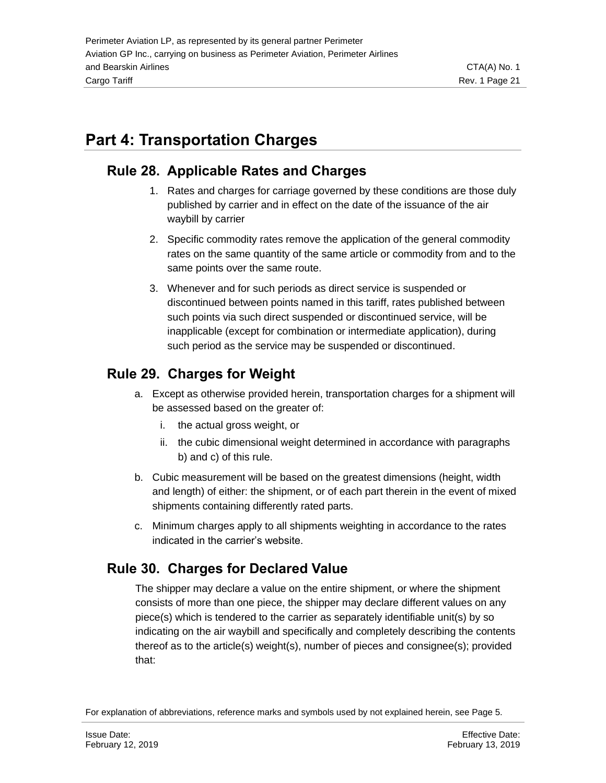# <span id="page-20-0"></span>**Part 4: Transportation Charges**

### <span id="page-20-1"></span>**Rule 28. Applicable Rates and Charges**

- 1. Rates and charges for carriage governed by these conditions are those duly published by carrier and in effect on the date of the issuance of the air waybill by carrier
- 2. Specific commodity rates remove the application of the general commodity rates on the same quantity of the same article or commodity from and to the same points over the same route.
- 3. Whenever and for such periods as direct service is suspended or discontinued between points named in this tariff, rates published between such points via such direct suspended or discontinued service, will be inapplicable (except for combination or intermediate application), during such period as the service may be suspended or discontinued.

## <span id="page-20-2"></span>**Rule 29. Charges for Weight**

- a. Except as otherwise provided herein, transportation charges for a shipment will be assessed based on the greater of:
	- i. the actual gross weight, or
	- ii. the cubic dimensional weight determined in accordance with paragraphs b) and c) of this rule.
- b. Cubic measurement will be based on the greatest dimensions (height, width and length) of either: the shipment, or of each part therein in the event of mixed shipments containing differently rated parts.
- c. Minimum charges apply to all shipments weighting in accordance to the rates indicated in the carrier's website.

## <span id="page-20-3"></span>**Rule 30. Charges for Declared Value**

The shipper may declare a value on the entire shipment, or where the shipment consists of more than one piece, the shipper may declare different values on any piece(s) which is tendered to the carrier as separately identifiable unit(s) by so indicating on the air waybill and specifically and completely describing the contents thereof as to the article(s) weight(s), number of pieces and consignee(s); provided that:

For explanation of abbreviations, reference marks and symbols used by not explained herein, see Page 5.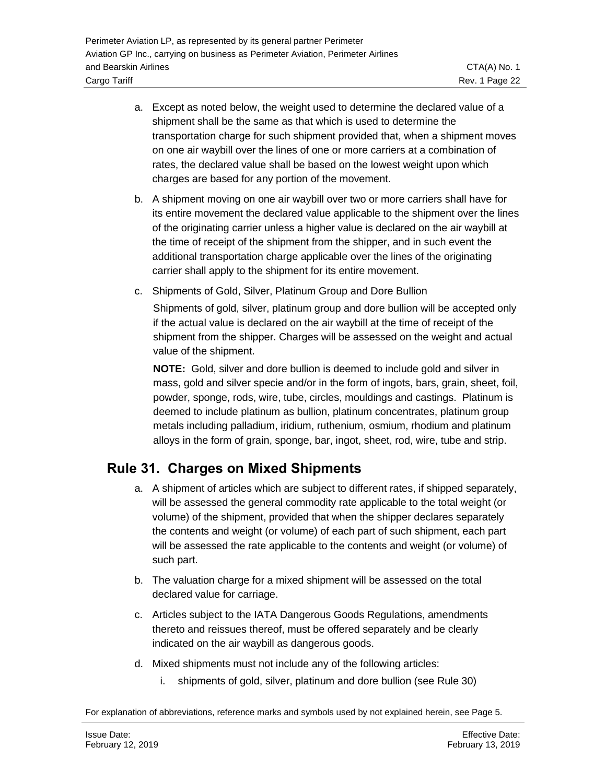- a. Except as noted below, the weight used to determine the declared value of a shipment shall be the same as that which is used to determine the transportation charge for such shipment provided that, when a shipment moves on one air waybill over the lines of one or more carriers at a combination of rates, the declared value shall be based on the lowest weight upon which charges are based for any portion of the movement.
- b. A shipment moving on one air waybill over two or more carriers shall have for its entire movement the declared value applicable to the shipment over the lines of the originating carrier unless a higher value is declared on the air waybill at the time of receipt of the shipment from the shipper, and in such event the additional transportation charge applicable over the lines of the originating carrier shall apply to the shipment for its entire movement.
- c. Shipments of Gold, Silver, Platinum Group and Dore Bullion

Shipments of gold, silver, platinum group and dore bullion will be accepted only if the actual value is declared on the air waybill at the time of receipt of the shipment from the shipper. Charges will be assessed on the weight and actual value of the shipment.

**NOTE:** Gold, silver and dore bullion is deemed to include gold and silver in mass, gold and silver specie and/or in the form of ingots, bars, grain, sheet, foil, powder, sponge, rods, wire, tube, circles, mouldings and castings. Platinum is deemed to include platinum as bullion, platinum concentrates, platinum group metals including palladium, iridium, ruthenium, osmium, rhodium and platinum alloys in the form of grain, sponge, bar, ingot, sheet, rod, wire, tube and strip.

## <span id="page-21-0"></span>**Rule 31. Charges on Mixed Shipments**

- a. A shipment of articles which are subject to different rates, if shipped separately, will be assessed the general commodity rate applicable to the total weight (or volume) of the shipment, provided that when the shipper declares separately the contents and weight (or volume) of each part of such shipment, each part will be assessed the rate applicable to the contents and weight (or volume) of such part.
- b. The valuation charge for a mixed shipment will be assessed on the total declared value for carriage.
- c. Articles subject to the IATA Dangerous Goods Regulations, amendments thereto and reissues thereof, must be offered separately and be clearly indicated on the air waybill as dangerous goods.
- d. Mixed shipments must not include any of the following articles:
	- i. shipments of gold, silver, platinum and dore bullion (see Rule 30)

For explanation of abbreviations, reference marks and symbols used by not explained herein, see Page 5.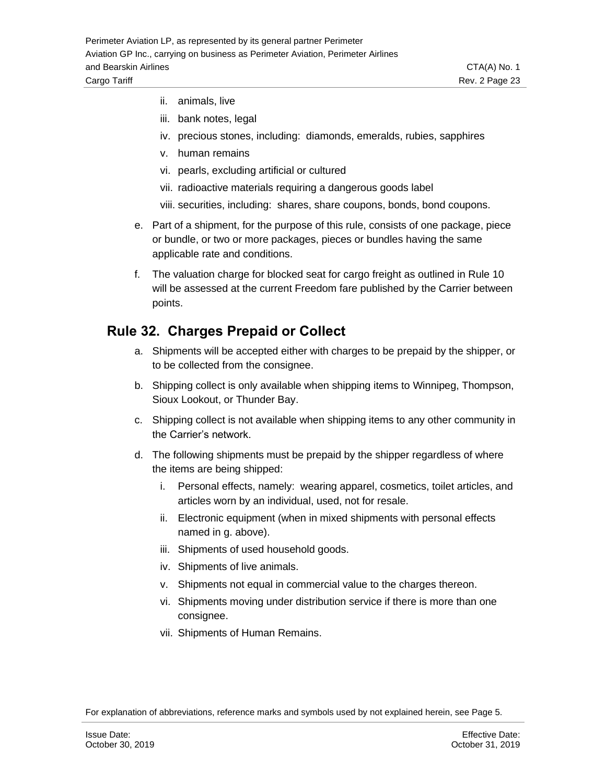- ii. animals, live
- iii. bank notes, legal
- iv. precious stones, including: diamonds, emeralds, rubies, sapphires
- v. human remains
- vi. pearls, excluding artificial or cultured
- vii. radioactive materials requiring a dangerous goods label
- viii. securities, including: shares, share coupons, bonds, bond coupons.
- e. Part of a shipment, for the purpose of this rule, consists of one package, piece or bundle, or two or more packages, pieces or bundles having the same applicable rate and conditions.
- f. The valuation charge for blocked seat for cargo freight as outlined in Rule 10 will be assessed at the current Freedom fare published by the Carrier between points.

#### <span id="page-22-0"></span>**Rule 32. Charges Prepaid or Collect**

- a. Shipments will be accepted either with charges to be prepaid by the shipper, or to be collected from the consignee.
- b. Shipping collect is only available when shipping items to Winnipeg, Thompson, Sioux Lookout, or Thunder Bay.
- c. Shipping collect is not available when shipping items to any other community in the Carrier's network.
- d. The following shipments must be prepaid by the shipper regardless of where the items are being shipped:
	- i. Personal effects, namely: wearing apparel, cosmetics, toilet articles, and articles worn by an individual, used, not for resale.
	- ii. Electronic equipment (when in mixed shipments with personal effects named in g. above).
	- iii. Shipments of used household goods.
	- iv. Shipments of live animals.
	- v. Shipments not equal in commercial value to the charges thereon.
	- vi. Shipments moving under distribution service if there is more than one consignee.
	- vii. Shipments of Human Remains.

For explanation of abbreviations, reference marks and symbols used by not explained herein, see Page 5.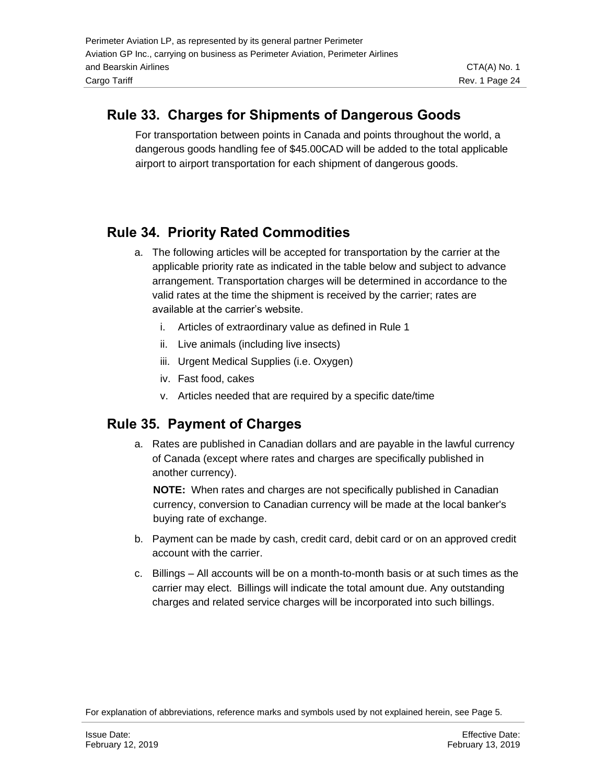### <span id="page-23-0"></span>**Rule 33. Charges for Shipments of Dangerous Goods**

For transportation between points in Canada and points throughout the world, a dangerous goods handling fee of \$45.00CAD will be added to the total applicable airport to airport transportation for each shipment of dangerous goods.

## <span id="page-23-1"></span>**Rule 34. Priority Rated Commodities**

- a. The following articles will be accepted for transportation by the carrier at the applicable priority rate as indicated in the table below and subject to advance arrangement. Transportation charges will be determined in accordance to the valid rates at the time the shipment is received by the carrier; rates are available at the carrier's website.
	- i. Articles of extraordinary value as defined in Rule 1
	- ii. Live animals (including live insects)
	- iii. Urgent Medical Supplies (i.e. Oxygen)
	- iv. Fast food, cakes
	- v. Articles needed that are required by a specific date/time

#### <span id="page-23-2"></span>**Rule 35. Payment of Charges**

a. Rates are published in Canadian dollars and are payable in the lawful currency of Canada (except where rates and charges are specifically published in another currency).

**NOTE:** When rates and charges are not specifically published in Canadian currency, conversion to Canadian currency will be made at the local banker's buying rate of exchange.

- b. Payment can be made by cash, credit card, debit card or on an approved credit account with the carrier.
- c. Billings All accounts will be on a month-to-month basis or at such times as the carrier may elect. Billings will indicate the total amount due. Any outstanding charges and related service charges will be incorporated into such billings.